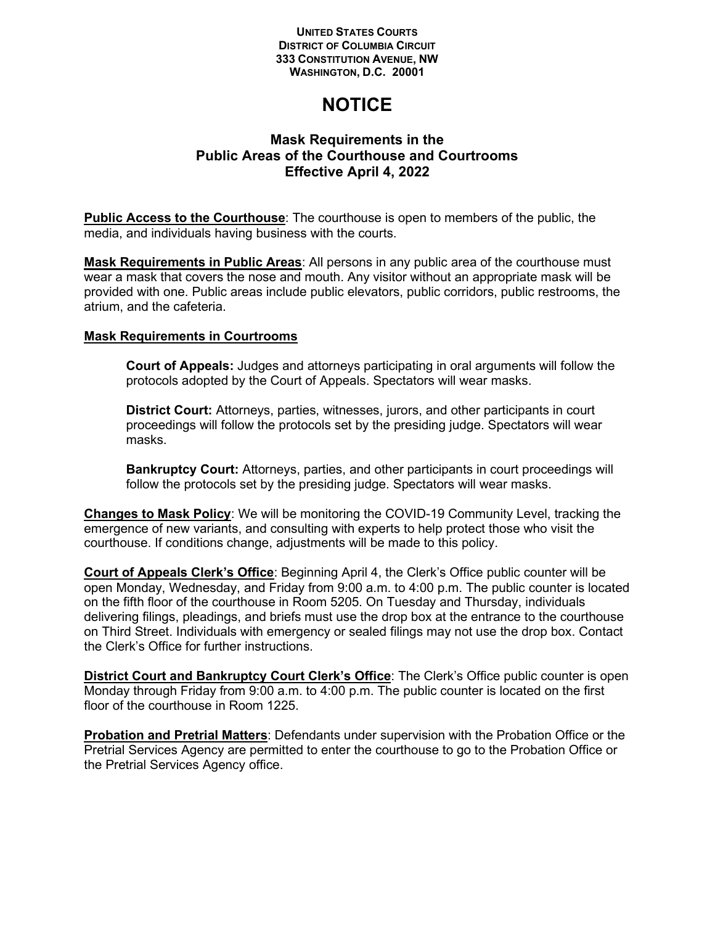## **UNITED STATES COURTS DISTRICT OF COLUMBIA CIRCUIT 333 CONSTITUTION AVENUE, NW WASHINGTON, D.C. 20001**

## **NOTICE**

## **Mask Requirements in the Public Areas of the Courthouse and Courtrooms Effective April 4, 2022**

**Public Access to the Courthouse**: The courthouse is open to members of the public, the media, and individuals having business with the courts.

**Mask Requirements in Public Areas**: All persons in any public area of the courthouse must wear a mask that covers the nose and mouth. Any visitor without an appropriate mask will be provided with one. Public areas include public elevators, public corridors, public restrooms, the atrium, and the cafeteria.

## **Mask Requirements in Courtrooms**

**Court of Appeals:** Judges and attorneys participating in oral arguments will follow the protocols adopted by the Court of Appeals. Spectators will wear masks.

**District Court:** Attorneys, parties, witnesses, jurors, and other participants in court proceedings will follow the protocols set by the presiding judge. Spectators will wear masks.

**Bankruptcy Court:** Attorneys, parties, and other participants in court proceedings will follow the protocols set by the presiding judge. Spectators will wear masks.

**Changes to Mask Policy**: We will be monitoring the COVID-19 Community Level, tracking the emergence of new variants, and consulting with experts to help protect those who visit the courthouse. If conditions change, adjustments will be made to this policy.

**Court of Appeals Clerk's Office**: Beginning April 4, the Clerk's Office public counter will be open Monday, Wednesday, and Friday from 9:00 a.m. to 4:00 p.m. The public counter is located on the fifth floor of the courthouse in Room 5205. On Tuesday and Thursday, individuals delivering filings, pleadings, and briefs must use the drop box at the entrance to the courthouse on Third Street. Individuals with emergency or sealed filings may not use the drop box. Contact the Clerk's Office for further instructions.

**District Court and Bankruptcy Court Clerk's Office**: The Clerk's Office public counter is open Monday through Friday from 9:00 a.m. to 4:00 p.m. The public counter is located on the first floor of the courthouse in Room 1225.

**Probation and Pretrial Matters**: Defendants under supervision with the Probation Office or the Pretrial Services Agency are permitted to enter the courthouse to go to the Probation Office or the Pretrial Services Agency office.